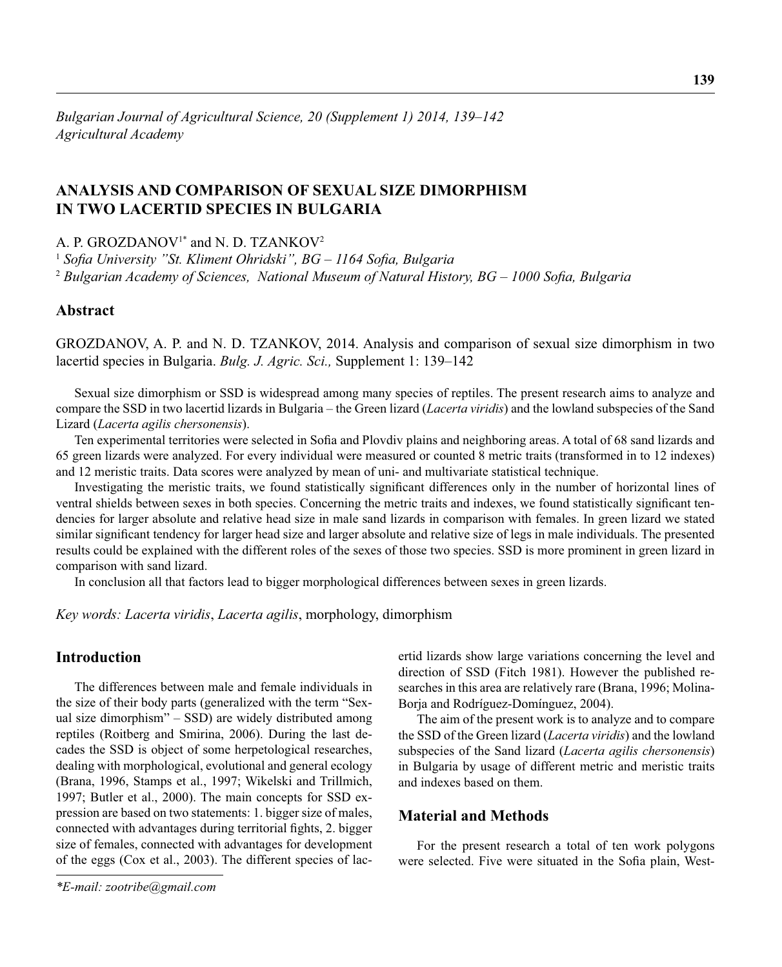# **ANALYSIS AND COMPARISON OF SEXUAL SIZE DIMORPHISM IN TWO LACERTID SPECIES IN BULGARIA**

A. P. GROZDANOV<sup>1\*</sup> and N. D. TZANKOV<sup>2</sup>

<sup>1</sup> Sofia University "St. Kliment Ohridski", BG - 1164 Sofia, Bulgaria <sup>2</sup> Bulgarian Academy of Sciences, National Museum of Natural History, BG – 1000 Sofia, Bulgaria

## **Abstract**

GROZDANOV, A. P. and N. D. TZАNKOV, 2014. Analysis and comparison of sexual size dimorphism in two lacertid species in Bulgaria. *Bulg. J. Agric. Sci.,* Supplement 1: 139–142

Sexual size dimorphism or SSD is widespread among many species of reptiles. The present research aims to analyze and compare the SSD in two lacertid lizards in Bulgaria – the Green lizard (*Lacerta viridis*) and the lowland subspecies of the Sand Lizard (*Lacerta agilis chersonensis*).

Ten experimental territories were selected in Sofia and Plovdiv plains and neighboring areas. A total of 68 sand lizards and 65 green lizards were analyzed. For every individual were measured or counted 8 metric traits (transformed in to 12 indexes) and 12 meristic traits. Data scores were analyzed by mean of uni- and multivariate statistical technique.

Investigating the meristic traits, we found statistically significant differences only in the number of horizontal lines of ventral shields between sexes in both species. Concerning the metric traits and indexes, we found statistically significant tendencies for larger absolute and relative head size in male sand lizards in comparison with females. In green lizard we stated similar significant tendency for larger head size and larger absolute and relative size of legs in male individuals. The presented results could be explained with the different roles of the sexes of those two species. SSD is more prominent in green lizard in comparison with sand lizard.

In conclusion all that factors lead to bigger morphological differences between sexes in green lizards.

*Key words: Lacerta viridis*, *Lacerta agilis*, morphology, dimorphism

## **Introduction**

The differences between male and female individuals in the size of their body parts (generalized with the term "Sexual size dimorphism" – SSD) are widely distributed among reptiles (Roitberg and Smirina, 2006). During the last decades the SSD is object of some herpetological researches, dealing with morphological, evolutional and general ecology (Brana, 1996, Stamps et al., 1997; Wikelski and Trillmich, 1997; Butler et al., 2000). The main concepts for SSD expression are based on two statements: 1. bigger size of males, connected with advantages during territorial fights, 2. bigger size of females, connected with advantages for development of the eggs (Cox et al., 2003). The different species of lacertid lizards show large variations concerning the level and direction of SSD (Fitch 1981). However the published researches in this area are relatively rare (Brana, 1996; Molina-Borja and Rodríguez-Domínguez, 2004).

The aim of the present work is to analyze and to compare the SSD of the Green lizard (*Lacerta viridis*) and the lowland subspecies of the Sand lizard (*Lacerta agilis chersonensis*) in Bulgaria by usage of different metric and meristic traits and indexes based on them.

## **Material and Methods**

For the present research a total of ten work polygons were selected. Five were situated in the Sofia plain, West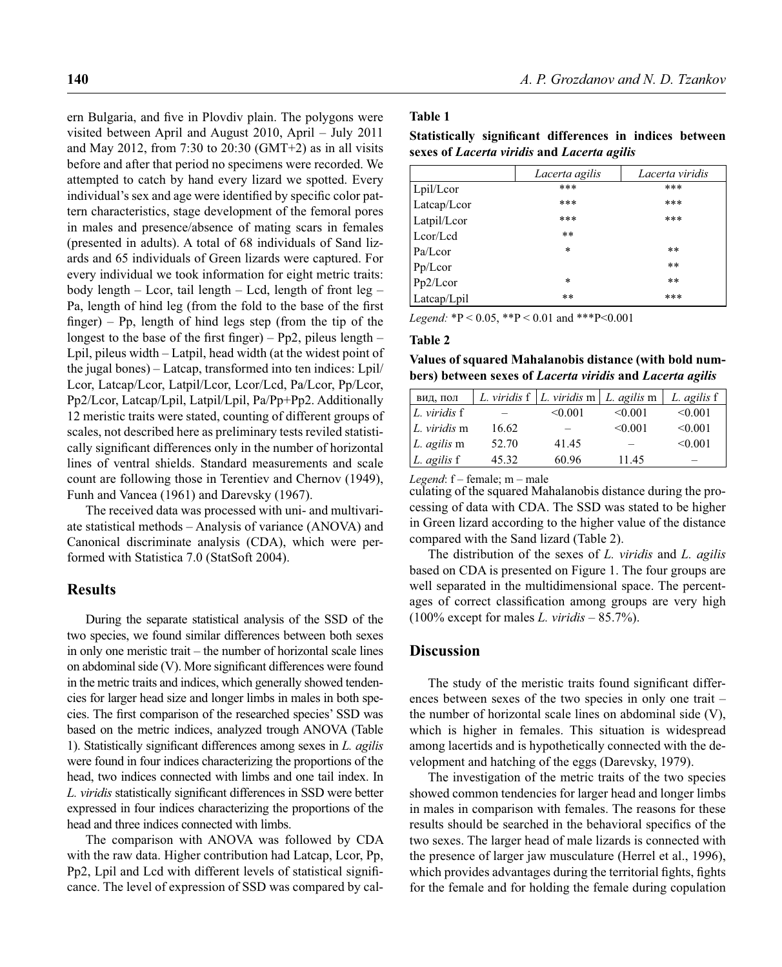ern Bulgaria, and five in Plovdiv plain. The polygons were visited between April and August 2010, April – July 2011 and May 2012, from 7:30 to  $20:30$  (GMT+2) as in all visits before and after that period no specimens were recorded. We attempted to catch by hand every lizard we spotted. Every individual's sex and age were identified by specific color pattern characteristics, stage development of the femoral pores in males and presence/absence of mating scars in females (presented in adults). A total of 68 individuals of Sand lizards and 65 individuals of Green lizards were captured. For every individual we took information for eight metric traits: body length – Lcor, tail length – Lcd, length of front leg – Pa, length of hind leg (from the fold to the base of the first finger) – Pp, length of hind legs step (from the tip of the longest to the base of the first finger) – Pp2, pileus length – Lpil, pileus width – Latpil, head width (at the widest point of the jugal bones) – Latcap, transformed into ten indices: Lpil/ Lcor, Latcap/Lcor, Latpil/Lcor, Lcor/Lcd, Pa/Lcor, Pp/Lcor, Pp2/Lcor, Latcap/Lpil, Latpil/Lpil, Pa/Pp+Pp2. Additionally 12 meristic traits were stated, counting of different groups of scales, not described here as preliminary tests reviled statistically significant differences only in the number of horizontal lines of ventral shields. Standard measurements and scale count are following those in Terentiev and Chernov (1949), Funh and Vancea (1961) and Darevsky (1967).

The received data was processed with uni- and multivariate statistical methods – Analysis of variance (ANOVA) and Canonical discriminate analysis (CDA), which were performed with Statistica 7.0 (StatSoft 2004).

## **Results**

During the separate statistical analysis of the SSD of the two species, we found similar differences between both sexes in only one meristic trait – the number of horizontal scale lines on abdominal side  $(V)$ . More significant differences were found in the metric traits and indices, which generally showed tendencies for larger head size and longer limbs in males in both species. The first comparison of the researched species' SSD was based on the metric indices, analyzed trough ANOVA (Table 1). Statistically significant differences among sexes in *L. agilis* were found in four indices characterizing the proportions of the head, two indices connected with limbs and one tail index. In *L. viridis* statistically significant differences in SSD were better expressed in four indices characterizing the proportions of the head and three indices connected with limbs.

The comparison with ANOVA was followed by CDA with the raw data. Higher contribution had Latcap, Lcor, Pp, Pp2, Lpil and Lcd with different levels of statistical significance. The level of expression of SSD was compared by cal-

#### **Table 1**

| Statistically significant differences in indices between |  |  |  |  |  |  |  |  |
|----------------------------------------------------------|--|--|--|--|--|--|--|--|
| sexes of Lacerta viridis and Lacerta agilis              |  |  |  |  |  |  |  |  |

|             | Lacerta agilis | Lacerta viridis |
|-------------|----------------|-----------------|
| Lpil/Lcor   | ***            | ***             |
| Latcap/Lcor | ***            | ***             |
| Latpil/Lcor | ***            | ***             |
| Leor/Led    | $* *$          |                 |
| Pa/Lcor     | $\ast$         | $* *$           |
| Pp/Lcor     |                | $***$           |
| Pp2/Lcor    | $\ast$         | $* *$           |
| Latcap/Lpil | $* *$          | ***             |

*Legend:* \*P < 0.05, \*\*P < 0.01 and \*\*\*P<0.001

#### **Table 2**

**Values of squared Mahalanobis distance (with bold numbers) between sexes of** *Lacerta viridis* **and** *Lacerta agilis*

| вид, пол               |       | L. viridis f   L. viridis m   L. agilis m |         | L. agilis f |
|------------------------|-------|-------------------------------------------|---------|-------------|
| $\lfloor$ L. viridis f |       | < 0.001                                   | < 0.001 | < 0.001     |
| L. <i>viridis</i> m    | 16.62 |                                           | < 0.001 | < 0.001     |
| L. agilis m            | 52.70 | 41.45                                     |         | < 0.001     |
| L. agilis f            | 45.32 | 60.96                                     | 11.45   |             |

*Legend*: f – female; m – male

culating of the squared Mahalanobis distance during the processing of data with CDA. The SSD was stated to be higher in Green lizard according to the higher value of the distance compared with the Sand lizard (Table 2).

The distribution of the sexes of *L. viridis* and *L. agilis* based on CDA is presented on Figure 1. The four groups are well separated in the multidimensional space. The percentages of correct classification among groups are very high (100% except for males *L. viridis* – 85.7%).

## **Discussion**

The study of the meristic traits found significant differences between sexes of the two species in only one trait – the number of horizontal scale lines on abdominal side (V), which is higher in females. This situation is widespread among lacertids and is hypothetically connected with the development and hatching of the eggs (Darevsky, 1979).

The investigation of the metric traits of the two species showed common tendencies for larger head and longer limbs in males in comparison with females. The reasons for these results should be searched in the behavioral specifics of the two sexes. The larger head of male lizards is connected with the presence of larger jaw musculature (Herrel et al., 1996), which provides advantages during the territorial fights, fights for the female and for holding the female during copulation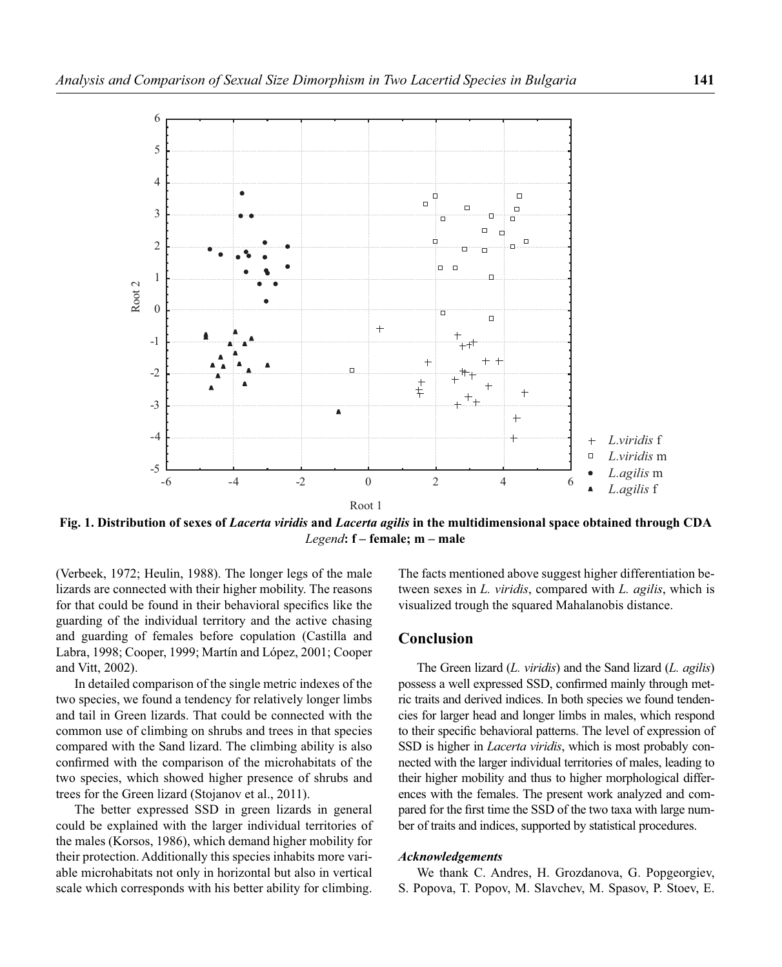

**Fig. 1. Distribution of sexes of** *Lacerta viridis* **and** *Lacerta agilis* **in the multidimensional space obtained through CDA** *Legend***: f – female; m – male**

(Verbeek, 1972; Heulin, 1988). The longer legs of the male lizards are connected with their higher mobility. The reasons for that could be found in their behavioral specifics like the guarding of the individual territory and the active chasing and guarding of females before copulation (Castilla and Labra, 1998; Cooper, 1999; Martín and López, 2001; Cooper and Vitt, 2002).

In detailed comparison of the single metric indexes of the two species, we found a tendency for relatively longer limbs and tail in Green lizards. That could be connected with the common use of climbing on shrubs and trees in that species compared with the Sand lizard. The climbing ability is also confirmed with the comparison of the microhabitats of the two species, which showed higher presence of shrubs and trees for the Green lizard (Stojanov et al., 2011).

The better expressed SSD in green lizards in general could be explained with the larger individual territories of the males (Korsos, 1986), which demand higher mobility for their protection. Additionally this species inhabits more variable microhabitats not only in horizontal but also in vertical scale which corresponds with his better ability for climbing.

The facts mentioned above suggest higher differentiation between sexes in *L. viridis*, compared with *L. agilis*, which is visualized trough the squared Mahalanobis distance.

### **Conclusion**

The Green lizard (*L. viridis*) and the Sand lizard (*L. agilis*) possess a well expressed SSD, confirmed mainly through metric traits and derived indices. In both species we found tendencies for larger head and longer limbs in males, which respond to their specific behavioral patterns. The level of expression of SSD is higher in *Lacerta viridis*, which is most probably connected with the larger individual territories of males, leading to their higher mobility and thus to higher morphological differences with the females. The present work analyzed and compared for the first time the SSD of the two taxa with large number of traits and indices, supported by statistical procedures.

#### *Acknowledgements*

We thank C. Andres, H. Grozdanova, G. Popgeorgiev, S. Popova, T. Popov, M. Slavchev, M. Spasov, P. Stoev, E.